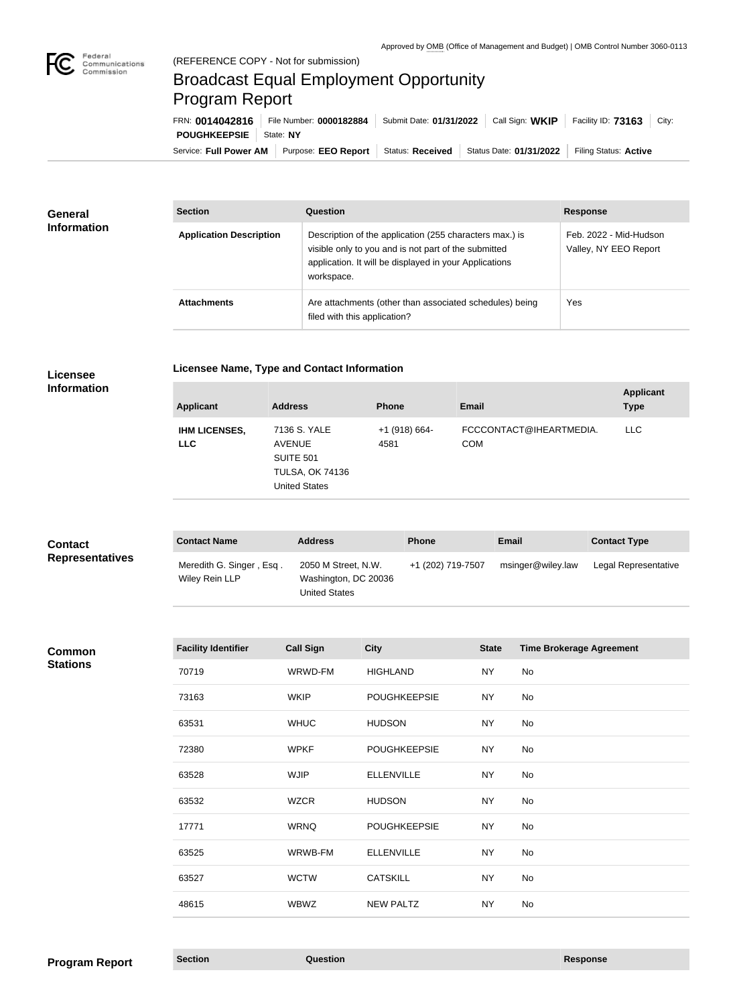

п

# Broadcast Equal Employment Opportunity Program Report

Service: Full Power AM | Purpose: EEO Report | Status: Received | Status Date: 01/31/2022 | Filing Status: Active **POUGHKEEPSIE** State: NY FRN: **0014042816** File Number: **0000182884** Submit Date: **01/31/2022** Call Sign: **WKIP** Facility ID: **73163** City:

| <b>General</b>     | <b>Section</b>                 | Question                                                                                                                                                                                | <b>Response</b>                                 |
|--------------------|--------------------------------|-----------------------------------------------------------------------------------------------------------------------------------------------------------------------------------------|-------------------------------------------------|
| <b>Information</b> | <b>Application Description</b> | Description of the application (255 characters max.) is<br>visible only to you and is not part of the submitted<br>application. It will be displayed in your Applications<br>workspace. | Feb. 2022 - Mid-Hudson<br>Valley, NY EEO Report |
|                    | <b>Attachments</b>             | Are attachments (other than associated schedules) being<br>filed with this application?                                                                                                 | Yes                                             |

# **Licensee**

### **Licensee Name, Type and Contact Information**

**Information**

| <b>Applicant</b>                   | <b>Address</b>                                                                                      | <b>Phone</b>            | <b>Email</b>                          | <b>Applicant</b><br><b>Type</b> |
|------------------------------------|-----------------------------------------------------------------------------------------------------|-------------------------|---------------------------------------|---------------------------------|
| <b>IHM LICENSES,</b><br><b>LLC</b> | 7136 S. YALE<br><b>AVENUE</b><br><b>SUITE 501</b><br><b>TULSA, OK 74136</b><br><b>United States</b> | $+1$ (918) 664-<br>4581 | FCCCONTACT@IHEARTMEDIA.<br><b>COM</b> | <b>LLC</b>                      |

| <b>Contact</b>         | <b>Contact Name</b>                        | <b>Address</b>                                                      | <b>Phone</b>      | <b>Email</b>      | <b>Contact Type</b>  |
|------------------------|--------------------------------------------|---------------------------------------------------------------------|-------------------|-------------------|----------------------|
| <b>Representatives</b> | Meredith G. Singer, Esq.<br>Wiley Rein LLP | 2050 M Street, N.W.<br>Washington, DC 20036<br><b>United States</b> | +1 (202) 719-7507 | msinger@wiley.law | Legal Representative |

#### **Common Stations**

| <b>Facility Identifier</b> | <b>Call Sign</b> | <b>City</b>         | <b>State</b> | <b>Time Brokerage Agreement</b> |
|----------------------------|------------------|---------------------|--------------|---------------------------------|
| 70719                      | WRWD-FM          | <b>HIGHLAND</b>     | <b>NY</b>    | No                              |
| 73163                      | <b>WKIP</b>      | <b>POUGHKEEPSIE</b> | <b>NY</b>    | No                              |
| 63531                      | <b>WHUC</b>      | <b>HUDSON</b>       | <b>NY</b>    | No                              |
| 72380                      | <b>WPKF</b>      | <b>POUGHKEEPSIE</b> | <b>NY</b>    | No                              |
| 63528                      | <b>WJIP</b>      | <b>ELLENVILLE</b>   | <b>NY</b>    | No                              |
| 63532                      | <b>WZCR</b>      | <b>HUDSON</b>       | <b>NY</b>    | No                              |
| 17771                      | <b>WRNQ</b>      | <b>POUGHKEEPSIE</b> | <b>NY</b>    | No                              |
| 63525                      | WRWB-FM          | <b>ELLENVILLE</b>   | <b>NY</b>    | No                              |
| 63527                      | <b>WCTW</b>      | <b>CATSKILL</b>     | <b>NY</b>    | No                              |
| 48615                      | <b>WBWZ</b>      | <b>NEW PALTZ</b>    | <b>NY</b>    | No                              |